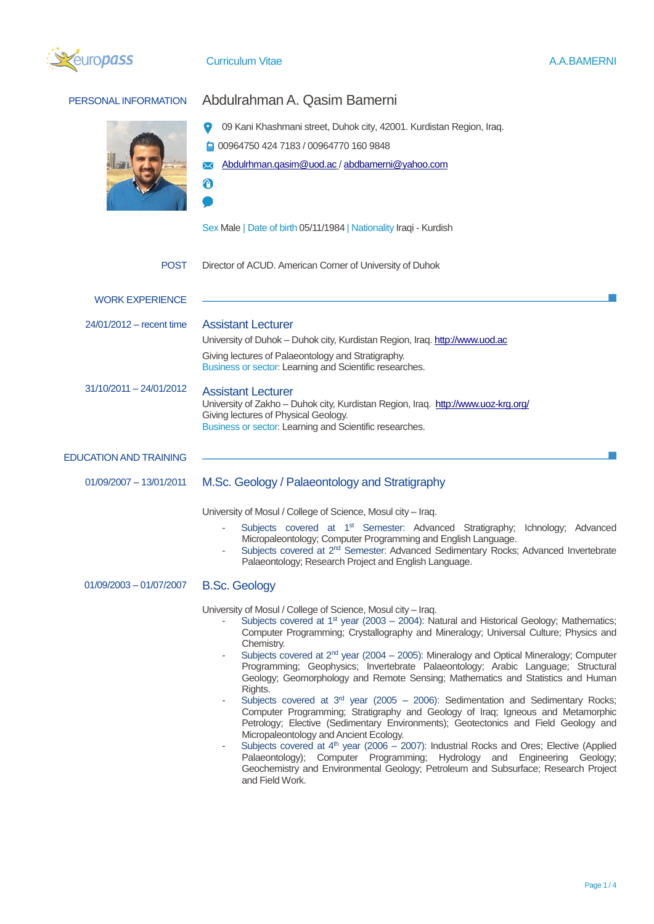

| PERSONAL INFORMATION          | Abdulrahman A. Qasim Bamerni                                                                                                                                                                                                                                                                                                                                                                                                                                                                                                                                                                                                                                                                                                                                                                                                                                                                                                                                                                                                                                                                                                                          |
|-------------------------------|-------------------------------------------------------------------------------------------------------------------------------------------------------------------------------------------------------------------------------------------------------------------------------------------------------------------------------------------------------------------------------------------------------------------------------------------------------------------------------------------------------------------------------------------------------------------------------------------------------------------------------------------------------------------------------------------------------------------------------------------------------------------------------------------------------------------------------------------------------------------------------------------------------------------------------------------------------------------------------------------------------------------------------------------------------------------------------------------------------------------------------------------------------|
|                               | 09 Kani Khashmani street, Duhok city, 42001. Kurdistan Region, Iraq.<br>00964750 424 7183 / 00964770 160 9848<br>Abdulrhman.qasim@uod.ac / abdbamerni@yahoo.com<br>⊕                                                                                                                                                                                                                                                                                                                                                                                                                                                                                                                                                                                                                                                                                                                                                                                                                                                                                                                                                                                  |
|                               | Sex Male   Date of birth 05/11/1984   Nationality Iraqi - Kurdish                                                                                                                                                                                                                                                                                                                                                                                                                                                                                                                                                                                                                                                                                                                                                                                                                                                                                                                                                                                                                                                                                     |
| <b>POST</b>                   | Director of ACUD. American Corner of University of Duhok                                                                                                                                                                                                                                                                                                                                                                                                                                                                                                                                                                                                                                                                                                                                                                                                                                                                                                                                                                                                                                                                                              |
| <b>WORK EXPERIENCE</b>        |                                                                                                                                                                                                                                                                                                                                                                                                                                                                                                                                                                                                                                                                                                                                                                                                                                                                                                                                                                                                                                                                                                                                                       |
| 24/01/2012 – recent time      | <b>Assistant Lecturer</b><br>University of Duhok - Duhok city, Kurdistan Region, Iraq. http://www.uod.ac<br>Giving lectures of Palaeontology and Stratigraphy.<br>Business or sector: Learning and Scientific researches.                                                                                                                                                                                                                                                                                                                                                                                                                                                                                                                                                                                                                                                                                                                                                                                                                                                                                                                             |
| 31/10/2011 - 24/01/2012       | <b>Assistant Lecturer</b><br>University of Zakho - Duhok city, Kurdistan Region, Iraq. http://www.uoz-krg.org/<br>Giving lectures of Physical Geology.<br>Business or sector: Learning and Scientific researches.                                                                                                                                                                                                                                                                                                                                                                                                                                                                                                                                                                                                                                                                                                                                                                                                                                                                                                                                     |
| <b>EDUCATION AND TRAINING</b> |                                                                                                                                                                                                                                                                                                                                                                                                                                                                                                                                                                                                                                                                                                                                                                                                                                                                                                                                                                                                                                                                                                                                                       |
| $01/09/2007 - 13/01/2011$     | M.Sc. Geology / Palaeontology and Stratigraphy                                                                                                                                                                                                                                                                                                                                                                                                                                                                                                                                                                                                                                                                                                                                                                                                                                                                                                                                                                                                                                                                                                        |
|                               | University of Mosul / College of Science, Mosul city - Iraq.<br>Subjects covered at 1 <sup>st</sup> Semester: Advanced Stratigraphy; Ichnology; Advanced<br>Micropaleontology; Computer Programming and English Language.<br>Subjects covered at 2 <sup>nd</sup> Semester: Advanced Sedimentary Rocks; Advanced Invertebrate<br>Palaeontology; Research Project and English Language.                                                                                                                                                                                                                                                                                                                                                                                                                                                                                                                                                                                                                                                                                                                                                                 |
| 01/09/2003 - 01/07/2007       | <b>B.Sc. Geology</b>                                                                                                                                                                                                                                                                                                                                                                                                                                                                                                                                                                                                                                                                                                                                                                                                                                                                                                                                                                                                                                                                                                                                  |
|                               | University of Mosul / College of Science, Mosul city - Iraq.<br>Subjects covered at $1st$ year (2003 – 2004): Natural and Historical Geology; Mathematics;<br>Computer Programming; Crystallography and Mineralogy; Universal Culture; Physics and<br>Chemistry.<br>Subjects covered at 2 <sup>nd</sup> year (2004 - 2005): Mineralogy and Optical Mineralogy; Computer<br>Programming; Geophysics; Invertebrate Palaeontology; Arabic Language; Structural<br>Geology; Geomorphology and Remote Sensing; Mathematics and Statistics and Human<br>Rights.<br>Subjects covered at $3rd$ year (2005 – 2006): Sedimentation and Sedimentary Rocks;<br>Computer Programming; Stratigraphy and Geology of Iraq; Igneous and Metamorphic<br>Petrology; Elective (Sedimentary Environments); Geotectonics and Field Geology and<br>Micropaleontology and Ancient Ecology.<br>Subjects covered at $4th$ year (2006 – 2007): Industrial Rocks and Ores; Elective (Applied<br>Palaeontology); Computer Programming; Hydrology and Engineering Geology;<br>Geochemistry and Environmental Geology; Petroleum and Subsurface; Research Project<br>and Field Work. |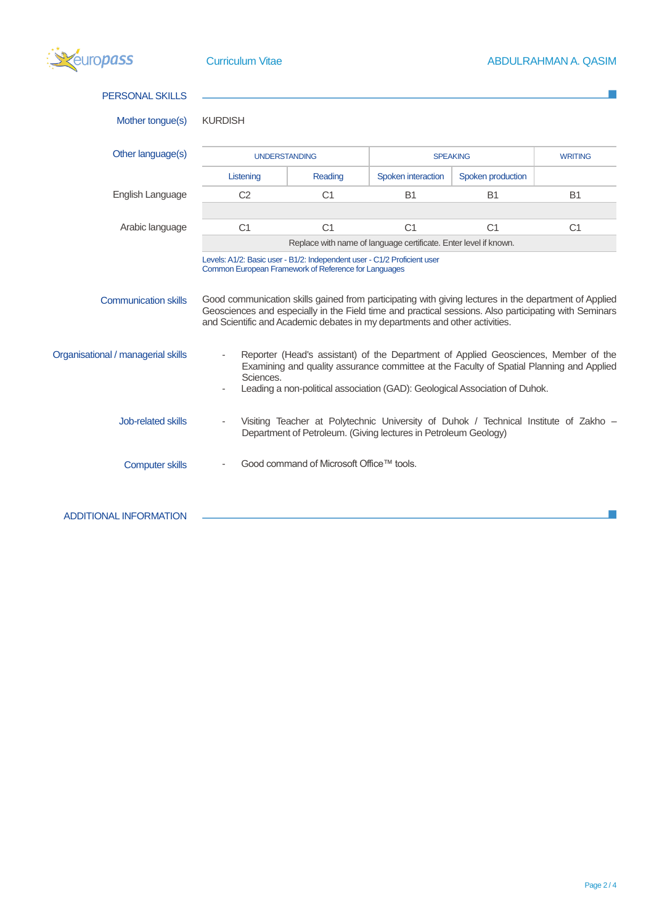| uropass <sup>.</sup>               | <b>Curriculum Vitae</b>                              |                                          |                                                                                                                                                                                                                                                                                               |                   | ABDULRAHMAN A. QASIM |
|------------------------------------|------------------------------------------------------|------------------------------------------|-----------------------------------------------------------------------------------------------------------------------------------------------------------------------------------------------------------------------------------------------------------------------------------------------|-------------------|----------------------|
| <b>PERSONAL SKILLS</b>             |                                                      |                                          |                                                                                                                                                                                                                                                                                               |                   |                      |
| Mother tongue(s)                   | <b>KURDISH</b>                                       |                                          |                                                                                                                                                                                                                                                                                               |                   |                      |
| Other language(s)                  | <b>UNDERSTANDING</b>                                 |                                          |                                                                                                                                                                                                                                                                                               | <b>SPEAKING</b>   | <b>WRITING</b>       |
|                                    | Listening                                            | Reading                                  | Spoken interaction                                                                                                                                                                                                                                                                            | Spoken production |                      |
| English Language                   | C <sub>2</sub>                                       | C <sub>1</sub>                           | <b>B1</b>                                                                                                                                                                                                                                                                                     | <b>B1</b>         | <b>B1</b>            |
|                                    |                                                      |                                          |                                                                                                                                                                                                                                                                                               |                   |                      |
| Arabic language                    | C <sub>1</sub>                                       | C <sub>1</sub>                           | C <sub>1</sub>                                                                                                                                                                                                                                                                                | C <sub>1</sub>    | C <sub>1</sub>       |
|                                    |                                                      |                                          | Replace with name of language certificate. Enter level if known.                                                                                                                                                                                                                              |                   |                      |
| <b>Communication skills</b>        | Common European Framework of Reference for Languages |                                          | Good communication skills gained from participating with giving lectures in the department of Applied<br>Geosciences and especially in the Field time and practical sessions. Also participating with Seminars<br>and Scientific and Academic debates in my departments and other activities. |                   |                      |
| Organisational / managerial skills | Sciences.                                            |                                          | Reporter (Head's assistant) of the Department of Applied Geosciences, Member of the<br>Examining and quality assurance committee at the Faculty of Spatial Planning and Applied<br>Leading a non-political association (GAD): Geological Association of Duhok.                                |                   |                      |
| Job-related skills                 |                                                      |                                          | Visiting Teacher at Polytechnic University of Duhok / Technical Institute of Zakho -<br>Department of Petroleum. (Giving lectures in Petroleum Geology)                                                                                                                                       |                   |                      |
| <b>Computer skills</b>             |                                                      | Good command of Microsoft Office™ tools. |                                                                                                                                                                                                                                                                                               |                   |                      |
| <b>ADDITIONAL INFORMATION</b>      |                                                      |                                          |                                                                                                                                                                                                                                                                                               |                   |                      |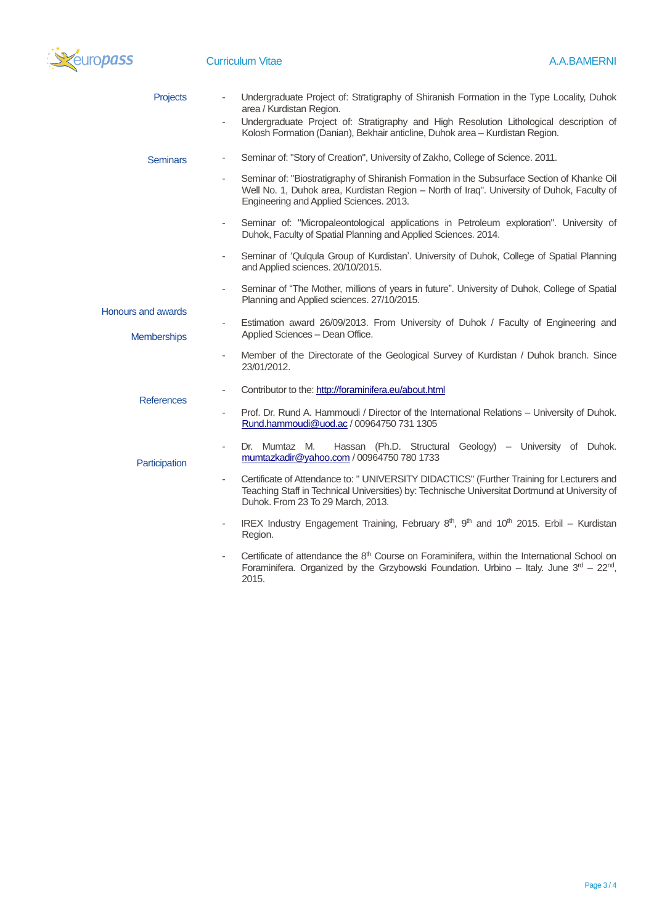

| Projects                                        | Undergraduate Project of: Stratigraphy of Shiranish Formation in the Type Locality, Duhok<br>area / Kurdistan Region.                                                                                                                                        |
|-------------------------------------------------|--------------------------------------------------------------------------------------------------------------------------------------------------------------------------------------------------------------------------------------------------------------|
|                                                 | Undergraduate Project of: Stratigraphy and High Resolution Lithological description of<br>Kolosh Formation (Danian), Bekhair anticline, Duhok area - Kurdistan Region.                                                                                       |
| <b>Seminars</b>                                 | Seminar of: "Story of Creation", University of Zakho, College of Science. 2011.                                                                                                                                                                              |
|                                                 | Seminar of: "Biostratigraphy of Shiranish Formation in the Subsurface Section of Khanke Oil<br>Well No. 1, Duhok area, Kurdistan Region - North of Iraq". University of Duhok, Faculty of<br>Engineering and Applied Sciences. 2013.                         |
|                                                 | Seminar of: "Micropaleontological applications in Petroleum exploration". University of<br>Duhok, Faculty of Spatial Planning and Applied Sciences. 2014.                                                                                                    |
|                                                 | Seminar of 'Qulqula Group of Kurdistan'. University of Duhok, College of Spatial Planning<br>$\overline{\phantom{a}}$<br>and Applied sciences. 20/10/2015.                                                                                                   |
|                                                 | Seminar of "The Mother, millions of years in future". University of Duhok, College of Spatial<br>$\overline{\phantom{a}}$<br>Planning and Applied sciences. 27/10/2015.                                                                                      |
| <b>Honours and awards</b><br><b>Memberships</b> | Estimation award 26/09/2013. From University of Duhok / Faculty of Engineering and<br>$\overline{\phantom{a}}$<br>Applied Sciences - Dean Office.                                                                                                            |
|                                                 | Member of the Directorate of the Geological Survey of Kurdistan / Duhok branch. Since<br>$\overline{\phantom{a}}$<br>23/01/2012.                                                                                                                             |
| <b>References</b>                               | Contributor to the: http://foraminifera.eu/about.html                                                                                                                                                                                                        |
|                                                 | Prof. Dr. Rund A. Hammoudi / Director of the International Relations – University of Duhok.<br>$\overline{\phantom{a}}$<br>Rund.hammoudi@uod.ac / 00964750 731 1305                                                                                          |
| Participation                                   | Dr. Mumtaz M.<br>Hassan (Ph.D. Structural Geology) – University of Duhok.<br>mumtazkadir@yahoo.com / 00964750 780 1733                                                                                                                                       |
|                                                 | Certificate of Attendance to: " UNIVERSITY DIDACTICS" (Further Training for Lecturers and<br>$\overline{\phantom{a}}$<br>Teaching Staff in Technical Universities) by: Technische Universitat Dortmund at University of<br>Duhok. From 23 To 29 March, 2013. |
|                                                 | IREX Industry Engagement Training, February $8th$ , $9th$ and $10th$ 2015. Erbil – Kurdistan<br>$\overline{\phantom{a}}$<br>Region.                                                                                                                          |
|                                                 | Cortificate of attendance the 8 <sup>th</sup> Course on Eoraminifers, within the International School on                                                                                                                                                     |

- Certificate of attendance the  $8<sup>th</sup>$  Course on Foraminifera, within the International School on Foraminifera. Organized by the Grzybowski Foundation. Urbino – Italy. June  $3<sup>rd</sup>$  – 22<sup>nd</sup>, 2015.